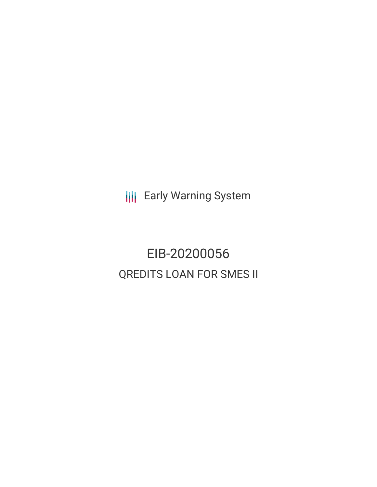**III** Early Warning System

EIB-20200056 QREDITS LOAN FOR SMES II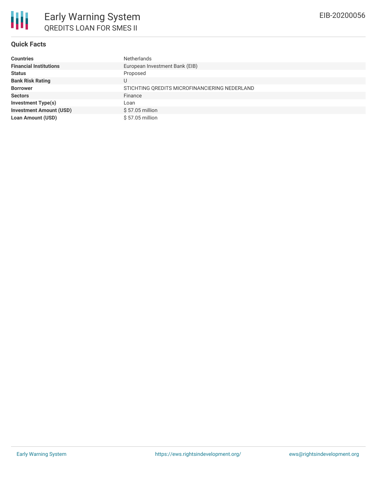# **Quick Facts**

| <b>Countries</b>               | <b>Netherlands</b>                            |
|--------------------------------|-----------------------------------------------|
| <b>Financial Institutions</b>  | European Investment Bank (EIB)                |
| <b>Status</b>                  | Proposed                                      |
| <b>Bank Risk Rating</b>        | U                                             |
| <b>Borrower</b>                | STICHTING OREDITS MICROFINANCIERING NEDERLAND |
| <b>Sectors</b>                 | Finance                                       |
| <b>Investment Type(s)</b>      | Loan                                          |
| <b>Investment Amount (USD)</b> | $$57.05$ million                              |
| <b>Loan Amount (USD)</b>       | $$57.05$ million                              |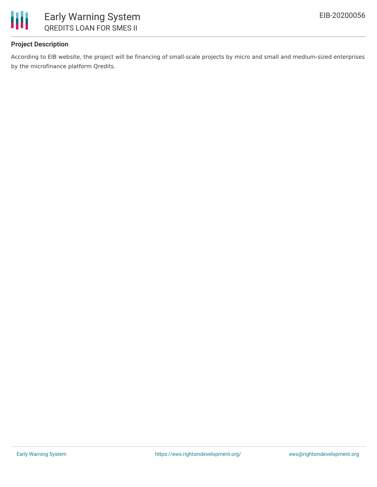

## **Project Description**

According to EIB website, the project will be financing of small-scale projects by micro and small and medium-sized enterprises by the microfinance platform Qredits.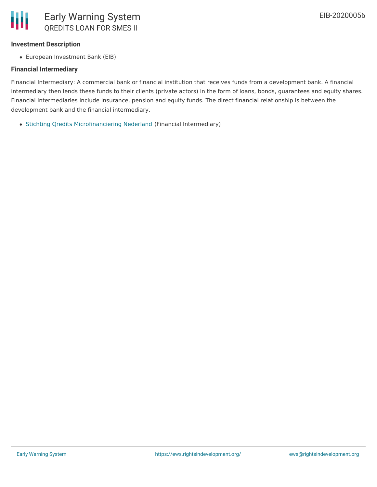

### **Investment Description**

European Investment Bank (EIB)

### **Financial Intermediary**

Financial Intermediary: A commercial bank or financial institution that receives funds from a development bank. A financial intermediary then lends these funds to their clients (private actors) in the form of loans, bonds, guarantees and equity shares. Financial intermediaries include insurance, pension and equity funds. The direct financial relationship is between the development bank and the financial intermediary.

• Stichting Qredits [Microfinanciering](file:///actor/3613/) Nederland (Financial Intermediary)